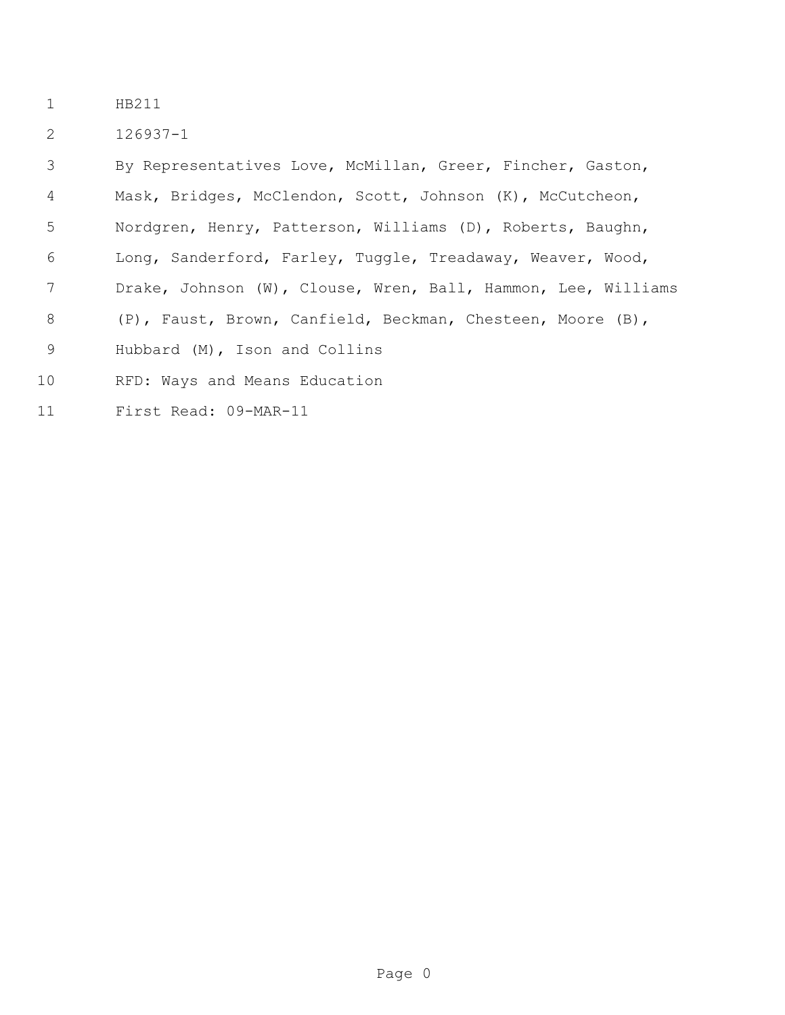- HB211
- 126937-1

 By Representatives Love, McMillan, Greer, Fincher, Gaston, Mask, Bridges, McClendon, Scott, Johnson (K), McCutcheon, Nordgren, Henry, Patterson, Williams (D), Roberts, Baughn, Long, Sanderford, Farley, Tuggle, Treadaway, Weaver, Wood, Drake, Johnson (W), Clouse, Wren, Ball, Hammon, Lee, Williams (P), Faust, Brown, Canfield, Beckman, Chesteen, Moore (B), Hubbard (M), Ison and Collins RFD: Ways and Means Education

First Read: 09-MAR-11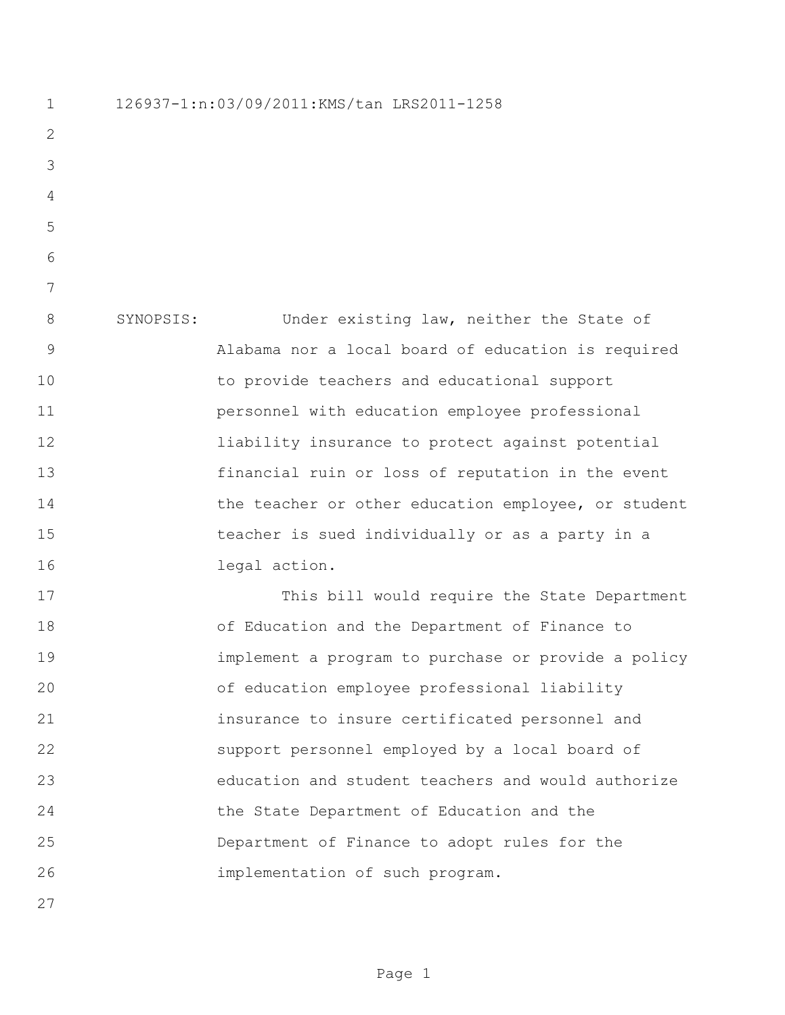126937-1:n:03/09/2011:KMS/tan LRS2011-1258

 SYNOPSIS: Under existing law, neither the State of Alabama nor a local board of education is required to provide teachers and educational support personnel with education employee professional liability insurance to protect against potential financial ruin or loss of reputation in the event 14 the teacher or other education employee, or student teacher is sued individually or as a party in a legal action.

 This bill would require the State Department of Education and the Department of Finance to implement a program to purchase or provide a policy of education employee professional liability insurance to insure certificated personnel and support personnel employed by a local board of education and student teachers and would authorize the State Department of Education and the Department of Finance to adopt rules for the implementation of such program.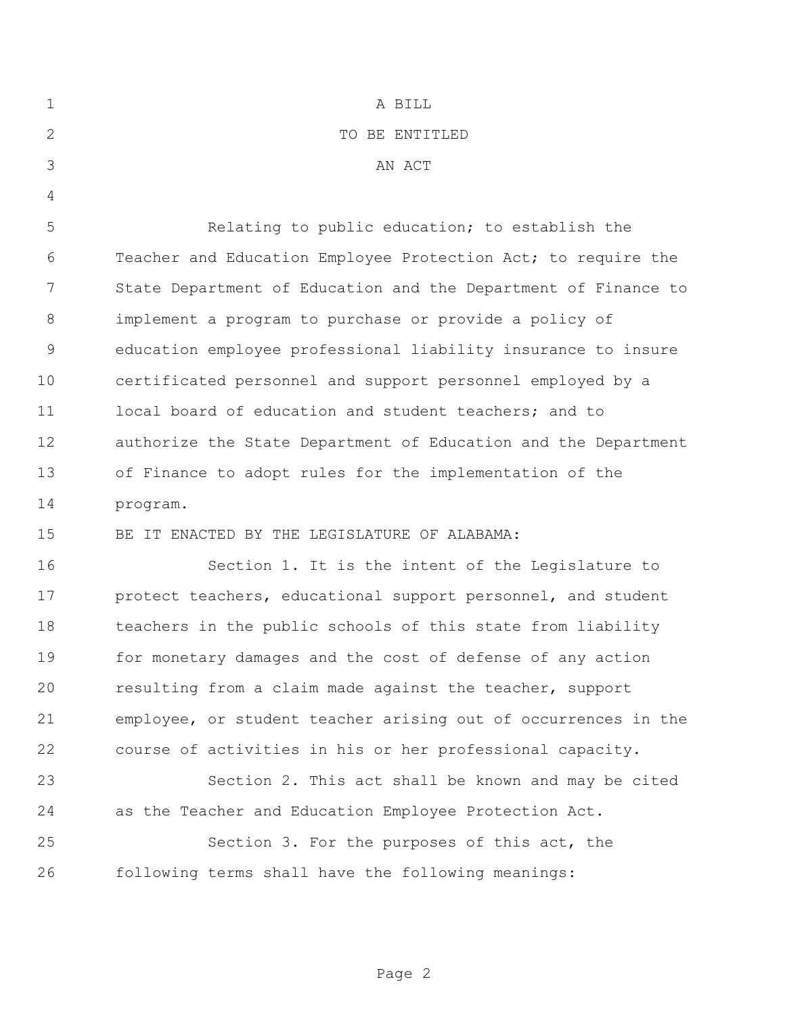| $\mathbf 1$   | A BILL                                                         |
|---------------|----------------------------------------------------------------|
| 2             | TO BE ENTITLED                                                 |
| 3             | AN ACT                                                         |
| 4             |                                                                |
| 5             | Relating to public education; to establish the                 |
| 6             | Teacher and Education Employee Protection Act; to require the  |
| 7             | State Department of Education and the Department of Finance to |
| 8             | implement a program to purchase or provide a policy of         |
| $\mathcal{G}$ | education employee professional liability insurance to insure  |
| 10            | certificated personnel and support personnel employed by a     |
| 11            | local board of education and student teachers; and to          |
| 12            | authorize the State Department of Education and the Department |
| 13            | of Finance to adopt rules for the implementation of the        |
| 14            | program.                                                       |
| 15            | BE IT ENACTED BY THE LEGISLATURE OF ALABAMA:                   |
| 16            | Section 1. It is the intent of the Legislature to              |
| 17            | protect teachers, educational support personnel, and student   |
| 18            | teachers in the public schools of this state from liability    |
| 19            | for monetary damages and the cost of defense of any action     |
| 20            | resulting from a claim made against the teacher, support       |
| 21            | employee, or student teacher arising out of occurrences in the |
| 22            | course of activities in his or her professional capacity.      |
| 23            | Section 2. This act shall be known and may be cited            |
| 24            | as the Teacher and Education Employee Protection Act.          |
| 25            | Section 3. For the purposes of this act, the                   |
| 26            | following terms shall have the following meanings:             |

Page 2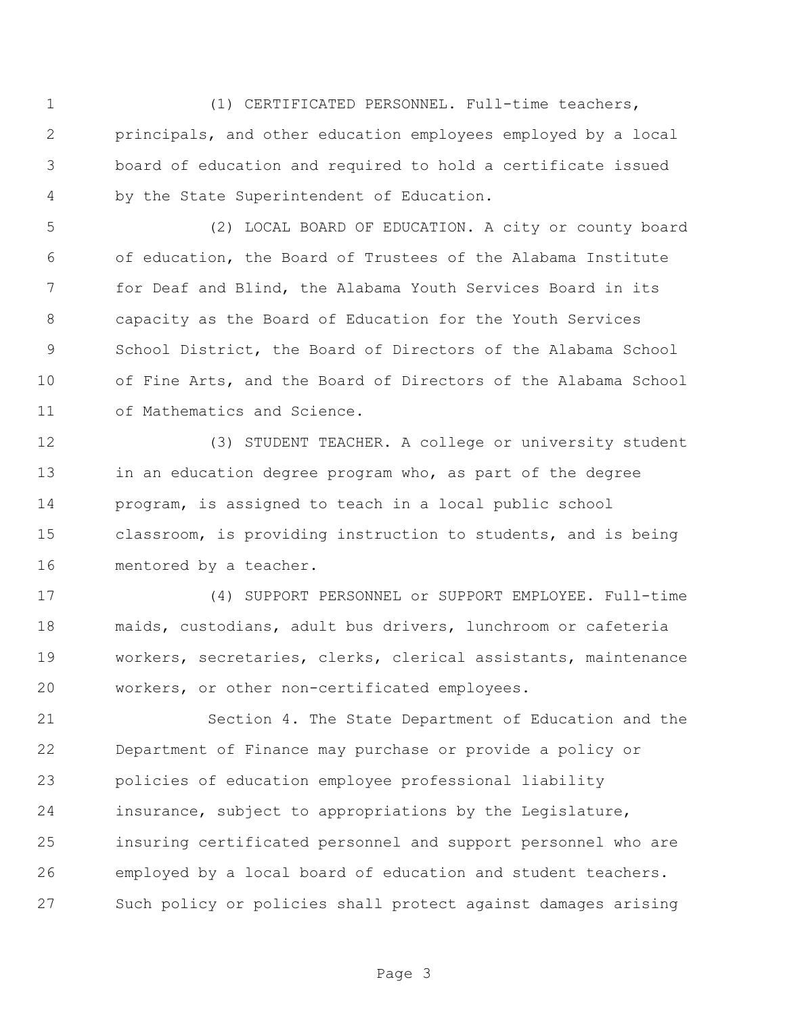(1) CERTIFICATED PERSONNEL. Full-time teachers, principals, and other education employees employed by a local board of education and required to hold a certificate issued by the State Superintendent of Education.

 (2) LOCAL BOARD OF EDUCATION. A city or county board of education, the Board of Trustees of the Alabama Institute for Deaf and Blind, the Alabama Youth Services Board in its capacity as the Board of Education for the Youth Services School District, the Board of Directors of the Alabama School of Fine Arts, and the Board of Directors of the Alabama School of Mathematics and Science.

 (3) STUDENT TEACHER. A college or university student 13 in an education degree program who, as part of the degree program, is assigned to teach in a local public school classroom, is providing instruction to students, and is being mentored by a teacher.

 (4) SUPPORT PERSONNEL or SUPPORT EMPLOYEE. Full-time maids, custodians, adult bus drivers, lunchroom or cafeteria workers, secretaries, clerks, clerical assistants, maintenance workers, or other non-certificated employees.

 Section 4. The State Department of Education and the Department of Finance may purchase or provide a policy or policies of education employee professional liability insurance, subject to appropriations by the Legislature, insuring certificated personnel and support personnel who are employed by a local board of education and student teachers. Such policy or policies shall protect against damages arising

Page 3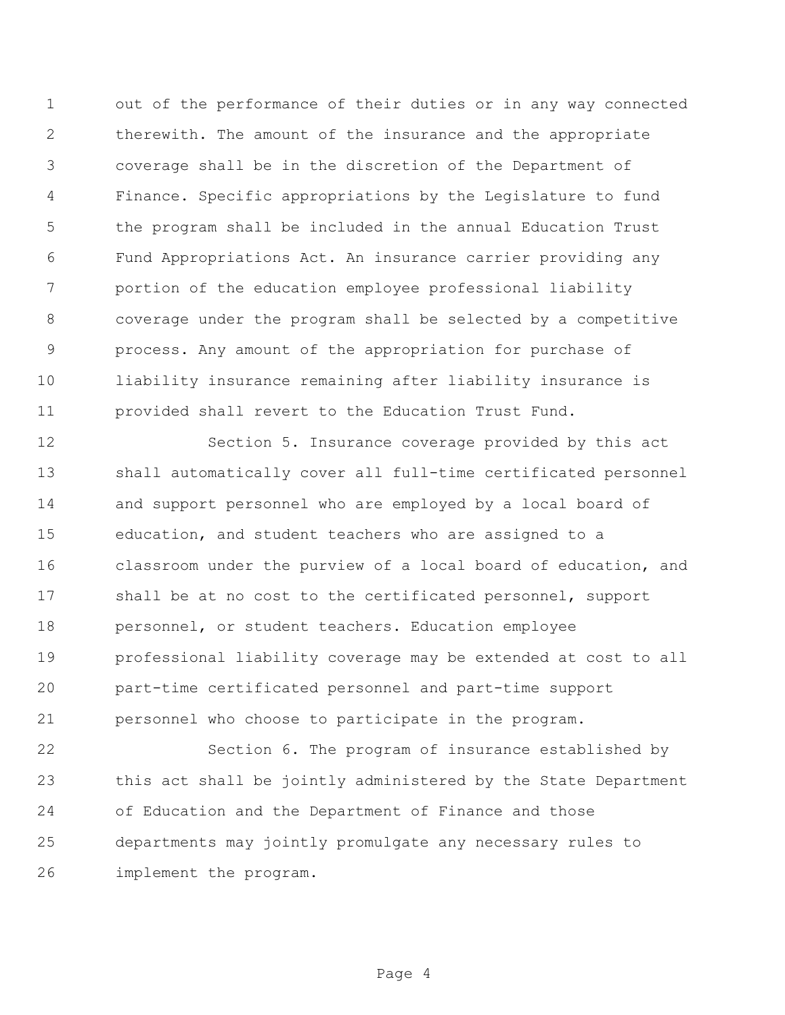out of the performance of their duties or in any way connected therewith. The amount of the insurance and the appropriate coverage shall be in the discretion of the Department of Finance. Specific appropriations by the Legislature to fund the program shall be included in the annual Education Trust Fund Appropriations Act. An insurance carrier providing any portion of the education employee professional liability coverage under the program shall be selected by a competitive process. Any amount of the appropriation for purchase of liability insurance remaining after liability insurance is provided shall revert to the Education Trust Fund.

 Section 5. Insurance coverage provided by this act shall automatically cover all full-time certificated personnel and support personnel who are employed by a local board of education, and student teachers who are assigned to a classroom under the purview of a local board of education, and shall be at no cost to the certificated personnel, support personnel, or student teachers. Education employee professional liability coverage may be extended at cost to all part-time certificated personnel and part-time support personnel who choose to participate in the program.

 Section 6. The program of insurance established by this act shall be jointly administered by the State Department of Education and the Department of Finance and those departments may jointly promulgate any necessary rules to implement the program.